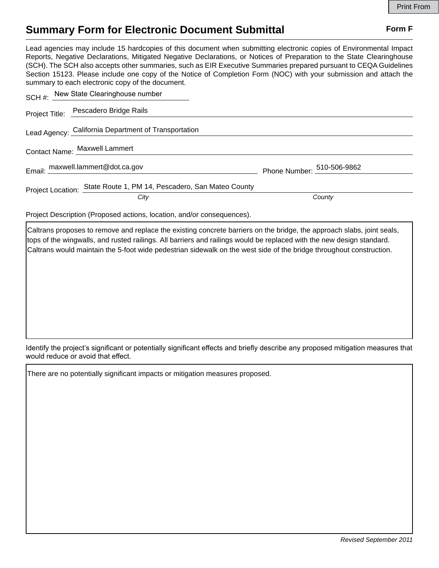## **Summary Form for Electronic Document Submittal Form F Form F**

Lead agencies may include 15 hardcopies of this document when submitting electronic copies of Environmental Impact Reports, Negative Declarations, Mitigated Negative Declarations, or Notices of Preparation to the State Clearinghouse (SCH). The SCH also accepts other summaries, such as EIR Executive Summaries prepared pursuant to CEQA Guidelines Section 15123. Please include one copy of the Notice of Completion Form (NOC) with your submission and attach the summary to each electronic copy of the document.

| SCH #: New State Clearinghouse number                               |                            |
|---------------------------------------------------------------------|----------------------------|
| Project Title: Pescadero Bridge Rails                               |                            |
| Lead Agency: California Department of Transportation                |                            |
| Contact Name: Maxwell Lammert                                       |                            |
| Email: maxwell.lammert@dot.ca.gov                                   | Phone Number: 510-506-9862 |
| Project Location: State Route 1, PM 14, Pescadero, San Mateo County | County                     |
| City                                                                |                            |

Project Description (Proposed actions, location, and/or consequences).

Caltrans proposes to remove and replace the existing concrete barriers on the bridge, the approach slabs, joint seals, tops of the wingwalls, and rusted railings. All barriers and railings would be replaced with the new design standard. Caltrans would maintain the 5-foot wide pedestrian sidewalk on the west side of the bridge throughout construction.

Identify the project's significant or potentially significant effects and briefly describe any proposed mitigation measures that would reduce or avoid that effect.

There are no potentially significant impacts or mitigation measures proposed.